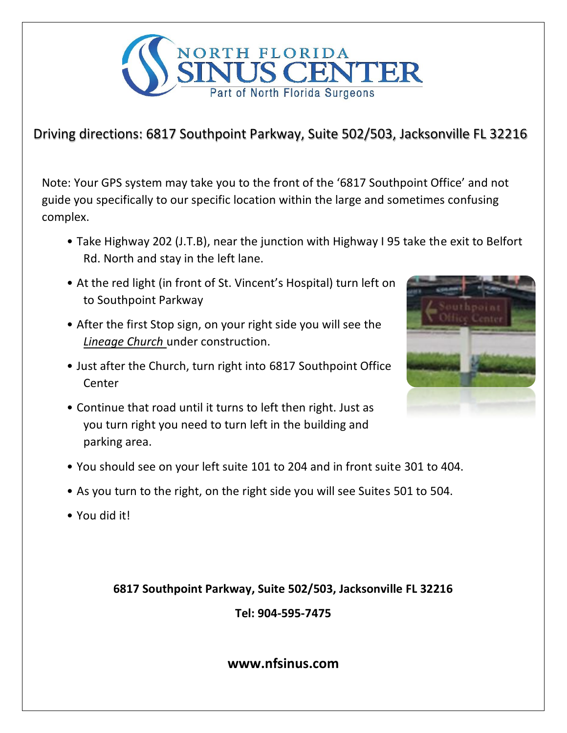

## Driving directions: 6817 Southpoint Parkway, Suite 502/503, Jacksonville FL 32216

Note: Your GPS system may take you to the front of the '6817 Southpoint Office' and not guide you specifically to our specific location within the large and sometimes confusing complex.

- Take Highway 202 (J.T.B), near the junction with Highway I 95 take the exit to Belfort Rd. North and stay in the left lane.
- At the red light (in front of St. Vincent's Hospital) turn left on to Southpoint Parkway
- After the first Stop sign, on your right side you will see the *Lineage Church* under construction.
- Just after the Church, turn right into 6817 Southpoint Office Center
- Continue that road until it turns to left then right. Just as you turn right you need to turn left in the building and parking area.



- You should see on your left suite 101 to 204 and in front suite 301 to 404.
- As you turn to the right, on the right side you will see Suites 501 to 504.
- You did it!

**6817 Southpoint Parkway, Suite 502/503, Jacksonville FL 32216**

**Tel: 904-595-7475**

**www.nfsinus.com**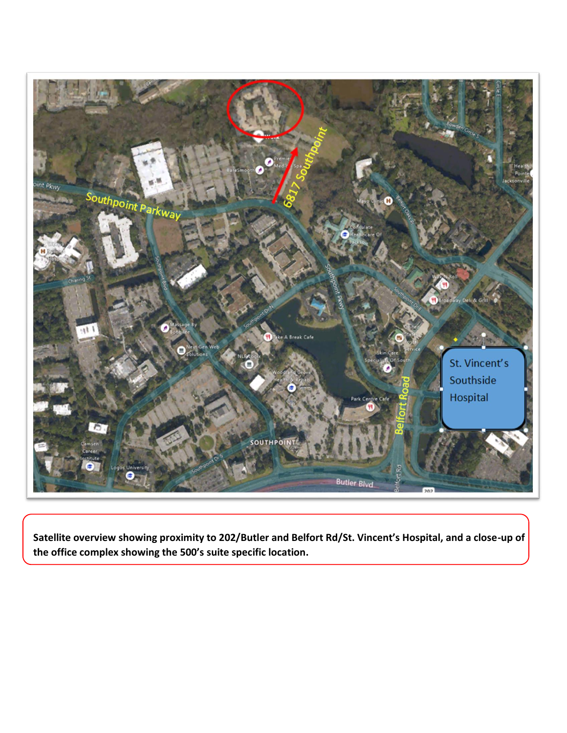

**Satellite overview showing proximity to 202/Butler and Belfort Rd/St. Vincent's Hospital, and a close-up of the office complex showing the 500's suite specific location.**